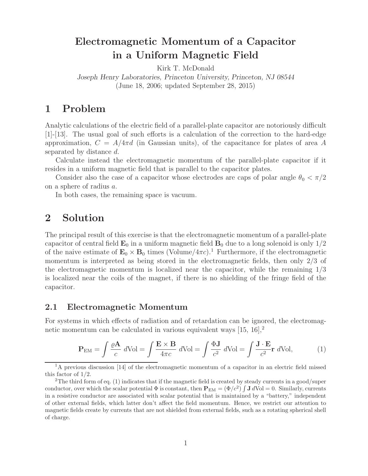# **Electromagnetic Momentum of a Capacitor in a Uniform Magnetic Field**

Kirk T. McDonald

*Joseph Henry Laboratories, Princeton University, Princeton, NJ 08544* (June 18, 2006; updated September 28, 2015)

# **1 Problem**

Analytic calculations of the electric field of a parallel-plate capacitor are notoriously difficult [1]-[13]. The usual goal of such efforts is a calculation of the correction to the hard-edge approximation,  $C = A/4\pi d$  (in Gaussian units), of the capacitance for plates of area A separated by distance d.

Calculate instead the electromagnetic momentum of the parallel-plate capacitor if it resides in a uniform magnetic field that is parallel to the capacitor plates.

Consider also the case of a capacitor whose electrodes are caps of polar angle  $\theta_0 < \pi/2$ on a sphere of radius a.

In both cases, the remaining space is vacuum.

# **2 Solution**

The principal result of this exercise is that the electromagnetic momentum of a parallel-plate capacitor of central field  $\mathbf{E}_0$  in a uniform magnetic field  $\mathbf{B}_0$  due to a long solenoid is only  $1/2$ of the naive estimate of  $\mathbf{E}_0 \times \mathbf{B}_0$  times (Volume/4 $\pi c$ ).<sup>1</sup> Furthermore, if the electromagnetic momentum is interpreted as being stored in the electromagnetic fields, then only 2/3 of the electromagnetic momentum is localized near the capacitor, while the remaining 1/3 is localized near the coils of the magnet, if there is no shielding of the fringe field of the capacitor.

#### **2.1 Electromagnetic Momentum**

For systems in which effects of radiation and of retardation can be ignored, the electromagnetic momentum can be calculated in various equivalent ways  $[15, 16]$ ,<sup>2</sup>

$$
\mathbf{P}_{\text{EM}} = \int \frac{\varrho \mathbf{A}}{c} d\text{Vol} = \int \frac{\mathbf{E} \times \mathbf{B}}{4\pi c} d\text{Vol} = \int \frac{\Phi \mathbf{J}}{c^2} d\text{Vol} = \int \frac{\mathbf{J} \cdot \mathbf{E}}{c^2} \mathbf{r} d\text{Vol},\tag{1}
$$

<sup>&</sup>lt;sup>1</sup>A previous discussion [14] of the electromagnetic momentum of a capacitor in an electric field missed this factor of 1/2.

<sup>&</sup>lt;sup>2</sup>The third form of eq. (1) indicates that if the magnetic field is created by steady currents in a good/super conductor, over which the scalar potential  $\Phi$  is constant, then  $\mathbf{P}_{EM} = (\Phi/c^2) \int \mathbf{J} dVol = 0$ . Similarly, currents in a resistive conductor are associated with scalar potential that is maintained by a "battery," independent of other external fields, which latter don't affect the field momentum. Hence, we restrict our attention to magnetic fields create by currents that are not shielded from external fields, such as a rotating spherical shell of charge.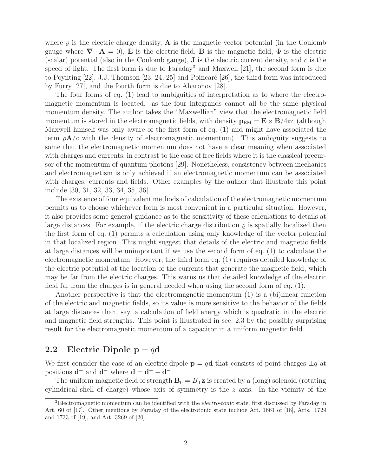where  $\rho$  is the electric charge density, **A** is the magnetic vector potential (in the Coulomb gauge where  $\nabla \cdot \mathbf{A} = 0$ , **E** is the electric field, **B** is the magnetic field,  $\Phi$  is the electric (scalar) potential (also in the Coulomb gauge), **J** is the electric current density, and c is the speed of light. The first form is due to Faraday<sup>3</sup> and Maxwell [21], the second form is due to Poynting  $[22]$ , J.J. Thomson  $[23, 24, 25]$  and Poincaré  $[26]$ , the third form was introduced by Furry [27], and the fourth form is due to Aharonov [28].

The four forms of eq. (1) lead to ambiguities of interpretation as to where the electromagnetic momentum is located. as the four integrands cannot all be the same physical momentum density. The author takes the "Maxwellian" view that the electromagnetic field momentum is stored in the electromagnetic fields, with density  $\mathbf{p}_{EM} = \mathbf{E} \times \mathbf{B}/4\pi c$  (although Maxwell himself was only aware of the first form of eq. (1) and might have associated the term  $\rho A/c$  with the density of electromagnetic momentum). This ambiguity suggests to some that the electromagnetic momentum does not have a clear meaning when associated with charges and currents, in contrast to the case of free fields where it is the classical precursor of the momentum of quantum photons [29]. Nonetheless, consistency between mechanics and electromagnetism is only achieved if an electromagnetic momentum can be associated with charges, currents and fields. Other examples by the author that illustrate this point include [30, 31, 32, 33, 34, 35, 36].

The existence of four equivalent methods of calculation of the electromagnetic momentum permits us to choose whichever form is most convenient in a particular situation. However, it also provides some general guidance as to the sensitivity of these calculations to details at large distances. For example, if the electric charge distribution  $\rho$  is spatially localized then the first form of eq. (1) permits a calculation using only knowledge of the vector potential in that localized region. This might suggest that details of the electric and magnetic fields at large distances will be unimportant if we use the second form of eq. (1) to calculate the electromagnetic momentum. However, the third form eq. (1) requires detailed knowledge of the electric potential at the location of the currents that generate the magnetic field, which may be far from the electric charges. This warns us that detailed knowledge of the electric field far from the charges is in general needed when using the second form of eq. (1).

Another perspective is that the electromagnetic momentum (1) is a (bi)linear function of the electric and magnetic fields, so its value is more sensitive to the behavior of the fields at large distances than, say, a calculation of field energy which is quadratic in the electric and magnetic field strengths. This point is illustrated in sec. 2.3 by the possibly surprising result for the electromagnetic momentum of a capacitor in a uniform magnetic field.

#### **2.2** Electric Dipole  $p = qd$

We first consider the case of an electric dipole  $\mathbf{p} = q\mathbf{d}$  that consists of point charges  $\pm q$  at positions  $d^+$  and  $d^-$  where  $d = d^+ - d^-$ .

The uniform magnetic field of strength  $\mathbf{B}_0 = B_0 \hat{\mathbf{z}}$  is created by a (long) solenoid (rotating cylindrical shell of charge) whose axis of symmetry is the  $z$  axis. In the vicinity of the

<sup>3</sup>Electromagnetic momentum can be identified with the *electro-tonic* state, first discussed by Faraday in Art. 60 of [17]. Other mentions by Faraday of the electrotonic state include Art. 1661 of [18], Arts. 1729 and 1733 of [19], and Art. 3269 of [20].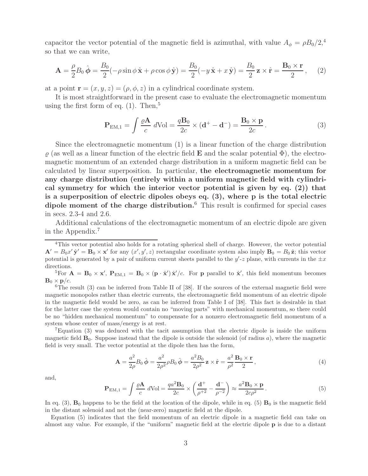capacitor the vector potential of the magnetic field is azimuthal, with value  $A_{\phi} = \rho B_0 / 2,$ <sup>4</sup> so that we can write,

$$
\mathbf{A} = \frac{\rho}{2} B_0 \hat{\boldsymbol{\phi}} = \frac{B_0}{2} (-\rho \sin \phi \, \hat{\mathbf{x}} + \rho \cos \phi \, \hat{\mathbf{y}}) = \frac{B_0}{2} (-y \, \hat{\mathbf{x}} + x \, \hat{\mathbf{y}}) = \frac{B_0}{2} \mathbf{z} \times \hat{\mathbf{r}} = \frac{\mathbf{B}_0 \times \mathbf{r}}{2},\tag{2}
$$

at a point  $\mathbf{r} = (x, y, z) = (\rho, \phi, z)$  in a cylindrical coordinate system.

It is most straightforward in the present case to evaluate the electromagnetic momentum using the first form of eq.  $(1)$ . Then,<sup>5</sup>

$$
\mathbf{P}_{\mathrm{EM},1} = \int \frac{\varrho \mathbf{A}}{c} \, d\mathrm{Vol} = \frac{q \mathbf{B}_0}{2c} \times (\mathbf{d}^+ - \mathbf{d}^-) = \frac{\mathbf{B}_0 \times \mathbf{p}}{2c} \,. \tag{3}
$$

Since the electromagnetic momentum (1) is a linear function of the charge distribution  $\rho$  (as well as a linear function of the electric field **E** and the scalar potential  $\Phi$ ), the electromagnetic momentum of an extended charge distribution in a uniform magnetic field can be calculated by linear superposition. In particular, **the electromagnetic momentum for any charge distribution (entirely within a uniform magnetic field with cylindrical symmetry for which the interior vector potential is given by eq. (2)) that is a superposition of electric dipoles obeys eq. (3), where p is the total electric dipole moment of the charge distribution.**<sup>6</sup> This result is confirmed for special cases in secs. 2.3-4 and 2.6.

Additional calculations of the electromagnetic momentum of an electric dipole are given in the Appendix.<sup>7</sup>

<sup>5</sup>For  $\mathbf{A} = \mathbf{B}_0 \times \mathbf{x}'$ ,  $\mathbf{P}_{EM,1} = \mathbf{B}_0 \times (\mathbf{p} \cdot \hat{\mathbf{x}}') \hat{\mathbf{x}}'/c$ . For **p** parallel to  $\hat{\mathbf{x}}'$ , this field momentum becomes  $\mathbf{B}_0 \times \mathbf{p}/c$ .<br><sup>6</sup>The result (3) can be inferred from Table II of [38]. If the sources of the external magnetic field were

magnetic monopoles rather than electric currents, the electromagnetic field momentum of an electric dipole in the magnetic field would be zero, as can be inferred from Table I of [38]. This fact is desirable in that for the latter case the system would contain no "moving parts" with mechanical momentum, so there could be no "hidden mechanical momentum" to compensate for a nonzero electromagnetic field momentum of a system whose center of mass/energy is at rest.

<sup>7</sup>Equation (3) was deduced with the tacit assumption that the electric dipole is inside the uniform magnetic field  $\mathbf{B}_0$ . Suppose instead that the dipole is outside the solenoid (of radius  $a$ ), where the magnetic field is very small. The vector potential at the dipole then has the form,

$$
\mathbf{A} = \frac{a^2}{2\rho} B_0 \,\hat{\phi} = \frac{a^2}{2\rho^2} \rho B_0 \,\hat{\phi} = \frac{a^2 B_0}{2\rho^2} \mathbf{z} \times \hat{\mathbf{r}} = \frac{a^2}{\rho^2} \frac{\mathbf{B}_0 \times \mathbf{r}}{2},\tag{4}
$$

and,

$$
\mathbf{P}_{\mathrm{EM},1} = \int \frac{\varrho \mathbf{A}}{c} \, d\mathrm{Vol} = \frac{qa^2 \mathbf{B}_0}{2c} \times \left(\frac{\mathbf{d}^+}{\rho^+^2} - \frac{\mathbf{d}^-}{\rho^-^2}\right) \approx \frac{a^2 \mathbf{B}_0 \times \mathbf{p}}{2c\rho^2} \,. \tag{5}
$$

In eq.  $(3)$ ,  $\mathbf{B}_0$  happens to be the field at the location of the dipole, while in eq.  $(5)$   $\mathbf{B}_0$  is the magnetic field in the distant solenoid and not the (near-zero) magnetic field at the dipole.

Equation (5) indicates that the field momentum of an electric dipole in a magnetic field can take on almost any value. For example, if the "uniform" magnetic field at the electric dipole **p** is due to a distant

<sup>&</sup>lt;sup>4</sup>This vector potential also holds for a rotating spherical shell of charge. However, the vector potential  $\mathbf{A}' = B_0 x' \hat{\mathbf{y}}' = \mathbf{B}_0 \times \mathbf{x}'$  for any  $(x', y', z)$  rectangular coordinate system also imply  $\mathbf{B}_0 = B_0 \hat{\mathbf{z}}$ ; this vector potential is generated by a pair of uniform current sheets parallel to the  $y'$ -z plane, with currents in the  $\pm x$ directions.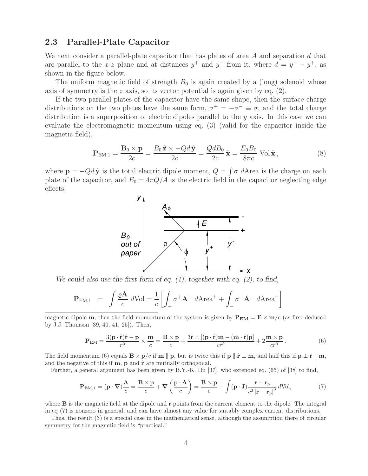### **2.3 Parallel-Plate Capacitor**

We next consider a parallel-plate capacitor that has plates of area A and separation d that are parallel to the x-z plane and at distances  $y^+$  and  $y^-$  from it, where  $d = y^- - y^+$ , as shown in the figure below.

The uniform magnetic field of strength  $B_0$  is again created by a (long) solenoid whose axis of symmetry is the z axis, so its vector potential is again given by eq.  $(2)$ .

If the two parallel plates of the capacitor have the same shape, then the surface charge distributions on the two plates have the same form,  $\sigma^+ = -\sigma^- \equiv \sigma$ , and the total charge distribution is a superposition of electric dipoles parallel to the  $y$  axis. In this case we can evaluate the electromagnetic momentum using eq. (3) (valid for the capacitor inside the magnetic field),

$$
\mathbf{P}_{\text{EM},1} = \frac{\mathbf{B}_0 \times \mathbf{p}}{2c} = \frac{B_0 \hat{\mathbf{z}} \times -Qd\hat{\mathbf{y}}}{2c} = \frac{QdB_0}{2c} \hat{\mathbf{x}} = \frac{E_0 B_0}{8\pi c} \text{ Vol }\hat{\mathbf{x}},\tag{8}
$$

where  $\mathbf{p} = -Qd\hat{\mathbf{y}}$  is the total electric dipole moment,  $Q = \int \sigma dA$ rea is the charge on each plate of the capacitor, and  $E_0 = 4\pi Q/A$  is the electric field in the capacitor neglecting edge effects.



*We could also use the first form of eq. (1), together with eq. (2), to find,*

$$
\mathbf{P}_{\text{EM},1} = \int \frac{\varrho \mathbf{A}}{c} d\text{Vol} = \frac{1}{c} \left[ \int_{+} \sigma^{+} \mathbf{A}^{+} d\text{Area}^{+} + \int_{-} \sigma^{-} \mathbf{A}^{-} d\text{Area}^{-} \right]
$$

magnetic dipole **m**, then the field momentum of the system is given by  $P_{EM} = E \times m/c$  (as first deduced by J.J. Thomson [39, 40, 41, 25]). Then,

$$
\mathbf{P}_{\text{EM}} = \frac{3(\mathbf{p} \cdot \hat{\mathbf{r}})\hat{\mathbf{r}} - \mathbf{p}}{r^3} \times \frac{\mathbf{m}}{c} = \frac{\mathbf{B} \times \mathbf{p}}{c} + \frac{3\hat{\mathbf{r}} \times [(\mathbf{p} \cdot \hat{\mathbf{r}})\mathbf{m} - (\mathbf{m} \cdot \hat{\mathbf{r}})\mathbf{p}]}{cr^3} + 2\frac{\mathbf{m} \times \mathbf{p}}{cr^3}.
$$
 (6)

The field momentum (6) equals  $\mathbf{B} \times \mathbf{p}/c$  if  $\mathbf{m} \parallel \mathbf{p}$ , but is twice this if  $\mathbf{p} \parallel \hat{\mathbf{r}} \perp \mathbf{m}$ , and half this if  $\mathbf{p} \perp \hat{\mathbf{r}} \parallel \mathbf{m}$ , and the negative of this if  $m$ ,  $p$  and  $\hat{r}$  are mutually orthogonal.

Further, a general argument has been given by B.Y.-K. Hu [37], who extended eq. (65) of [38] to find,

$$
\mathbf{P}_{\mathrm{EM},1} = (\mathbf{p} \cdot \nabla) \frac{\mathbf{A}}{c} = \frac{\mathbf{B} \times \mathbf{p}}{c} + \nabla \left( \frac{\mathbf{p} \cdot \mathbf{A}}{c} \right) = \frac{\mathbf{B} \times \mathbf{p}}{c} - \int (\mathbf{p} \cdot \mathbf{J}) \frac{\mathbf{r} - \mathbf{r}_p}{c^2 \left| \mathbf{r} - \mathbf{r}_p \right|^3} d\text{Vol},\tag{7}
$$

where **B** is the magnetic field at the dipole and **r** points from the current element to the dipole. The integral in eq (7) is nonzero in general, and can have almost any value for suitably complex current distributions.

Thus, the result (3) is a special case in the mathematical sense, although the assumption there of circular symmetry for the magnetic field is "practical."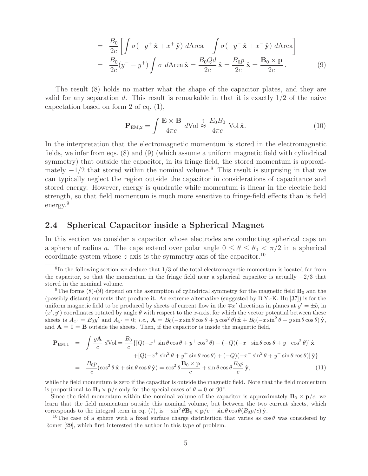$$
= \frac{B_0}{2c} \left[ \int \sigma(-y^+ \hat{\mathbf{x}} + x^+ \hat{\mathbf{y}}) d\text{Area} - \int \sigma(-y^- \hat{\mathbf{x}} + x^- \hat{\mathbf{y}}) d\text{Area} \right]
$$
  

$$
= \frac{B_0}{2c} (y^- - y^+) \int \sigma d\text{Area} \hat{\mathbf{x}} = \frac{B_0 Q d}{2c} \hat{\mathbf{x}} = \frac{B_0 p}{2c} \hat{\mathbf{x}} = \frac{B_0 \times \mathbf{p}}{2c}.
$$
 (9)

The result (8) holds no matter what the shape of the capacitor plates, and they are valid for any separation d. This result is remarkable in that it is exactly  $1/2$  of the naive expectation based on form 2 of eq. (1),

$$
\mathbf{P}_{\text{EM},2} = \int \frac{\mathbf{E} \times \mathbf{B}}{4\pi c} \, d\text{Vol} \stackrel{?}{\approx} \frac{E_0 B_0}{4\pi c} \text{ Vol } \hat{\mathbf{x}}.\tag{10}
$$

In the interpretation that the electromagnetic momentum is stored in the electromagnetic fields, we infer from eqs. (8) and (9) (which assume a uniform magnetic field with cylindrical symmetry) that outside the capacitor, in its fringe field, the stored momentum is approximately  $-1/2$  that stored within the nominal volume.<sup>8</sup> This result is surprising in that we can typically neglect the region outside the capacitor in considerations of capacitance and stored energy. However, energy is quadratic while momentum is linear in the electric field strength, so that field momentum is much more sensitive to fringe-field effects than is field energy.<sup>9</sup>

#### **2.4 Spherical Capacitor inside a Spherical Magnet**

In this section we consider a capacitor whose electrodes are conducting spherical caps on a sphere of radius a. The caps extend over polar angle  $0 \le \theta \le \theta_0 < \pi/2$  in a spherical coordinate system whose  $z$  axis is the symmetry axis of the capacitor.<sup>10</sup>

$$
\mathbf{P}_{\text{EM},1} = \int \frac{\varrho \mathbf{A}}{c} d\text{Vol} = \frac{B_0}{c} \{ [Q(-x^+ \sin \theta \cos \theta + y^+ \cos^2 \theta) + (-Q)(-x^- \sin \theta \cos \theta + y^- \cos^2 \theta)] \hat{\mathbf{x}} \}
$$

$$
+ [Q(-x^+ \sin^2 \theta + y^+ \sin \theta \cos \theta) + (-Q)(-x^- \sin^2 \theta + y^- \sin \theta \cos \theta)] \hat{\mathbf{y}} \}
$$

$$
= \frac{B_0 p}{c} (\cos^2 \theta \hat{\mathbf{x}} + \sin \theta \cos \theta \hat{\mathbf{y}}) = \cos^2 \theta \frac{\mathbf{B}_0 \times \mathbf{p}}{c} + \sin \theta \cos \theta \frac{B_0 p}{c} \hat{\mathbf{y}}, \tag{11}
$$

while the field momentum is zero if the capacitor is outside the magnetic field. Note that the field momentum is proportional to  $\mathbf{B}_0 \times \mathbf{p}/c$  only for the special cases of  $\theta = 0$  or 90°.

Since the field momentum within the nominal volume of the capacitor is approximately  $\mathbf{B}_0 \times \mathbf{p}/c$ , we learn that the field momentum outside this nominal volume, but between the two current sheets, which corresponds to the integral term in eq. (7), is  $-\sin^2 \theta \mathbf{B}_0 \times \mathbf{p}/c + \sin \theta \cos \theta (B_0 p/c) \hat{\mathbf{y}}$ .

<sup>10</sup>The case of a sphere with a fixed surface charge distribution that varies as  $\cos \theta$  was considered by Romer [29], which first interested the author in this type of problem.

 ${}^{8}$ In the following section we deduce that  $1/3$  of the total electromagnetic momentum is located far from the capacitor, so that the momentum in the fringe field near a spherical capacitor is actually  $-2/3$  that stored in the nominal volume.

<sup>&</sup>lt;sup>9</sup>The forms (8)-(9) depend on the assumption of cylindrical symmetry for the magnetic field  $\mathbf{B}_0$  and the (possibly distant) currents that produce it. An extreme alternative (suggested by B.Y.-K. Hu [37]) is for the uniform magnetic field to be produced by sheets of current flow in the  $\pm x'$  directions in planes at  $y' = \pm b$ , in  $(x', y')$  coordinates rotated by angle  $\theta$  with respect to the x-axis, for which the vector potential between these sheets is  $A_{x'} = B_0 y'$  and  $A_{y'} = 0$ ; *i.e.*,  $\mathbf{A} = B_0(-x \sin \theta \cos \theta + y \cos^2 \theta) \hat{\mathbf{x}} + B_0(-x \sin^2 \theta + y \sin \theta \cos \theta) \hat{\mathbf{y}}$ , and  $\mathbf{A} = 0 = \mathbf{B}$  outside the sheets. Then, if the capacitor is inside the magnetic field,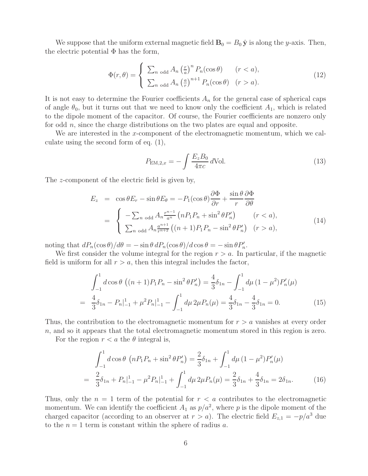We suppose that the uniform external magnetic field  $\mathbf{B}_0 = B_0 \hat{\mathbf{y}}$  is along the y-axis. Then, the electric potential  $\Phi$  has the form,

$$
\Phi(r,\theta) = \begin{cases}\n\sum_{n \text{ odd}} A_n \left(\frac{r}{a}\right)^n P_n(\cos \theta) & (r < a), \\
\sum_{n \text{ odd}} A_n \left(\frac{a}{r}\right)^{n+1} P_n(\cos \theta) & (r > a).\n\end{cases}
$$
\n(12)

It is not easy to determine the Fourier coefficients  $A_n$  for the general case of spherical caps of angle  $\theta_0$ , but it turns out that we need to know only the coefficient  $A_1$ , which is related to the dipole moment of the capacitor. Of course, the Fourier coefficients are nonzero only for odd  $n$ , since the charge distributions on the two plates are equal and opposite.

We are interested in the x-component of the electromagnetic momentum, which we calculate using the second form of eq. (1),

$$
P_{\text{EM},2,x} = -\int \frac{E_z B_0}{4\pi c} d\text{Vol}.\tag{13}
$$

The z-component of the electric field is given by,

$$
E_z = \cos \theta E_r - \sin \theta E_\theta = -P_1(\cos \theta) \frac{\partial \Phi}{\partial r} + \frac{\sin \theta}{r} \frac{\partial \Phi}{\partial \theta}
$$
  
= 
$$
\begin{cases} -\sum_{n \text{ odd}} A_n \frac{r^{n-1}}{a^n} \left( n P_1 P_n + \sin^2 \theta P_n' \right) & (r < a), \\ \sum_{n \text{ odd}} A_n \frac{a^{n+1}}{r^{n+2}} \left( (n+1) P_1 P_n - \sin^2 \theta P_n' \right) & (r > a), \end{cases}
$$
(14)

noting that  $dP_n(\cos\theta)/d\theta = -\sin\theta \, dP_n(\cos\theta)/d\cos\theta = -\sin\theta P'_n$ .

We first consider the volume integral for the region  $r > a$ . In particular, if the magnetic field is uniform for all  $r > a$ , then this integral includes the factor,

$$
\int_{-1}^{1} d\cos\theta \left( (n+1)P_1 P_n - \sin^2\theta P_n' \right) = \frac{4}{3}\delta_{1n} - \int_{-1}^{1} d\mu \left( 1 - \mu^2 \right) P_n'(\mu)
$$

$$
= \frac{4}{3}\delta_{1n} - P_n|_{-1}^{1} + \mu^2 P_n|_{-1}^{1} - \int_{-1}^{1} d\mu \, 2\mu P_n(\mu) = \frac{4}{3}\delta_{1n} - \frac{4}{3}\delta_{1n} = 0. \tag{15}
$$

Thus, the contribution to the electromagnetic momentum for  $r>a$  vanishes at every order n, and so it appears that the total electromagnetic momentum stored in this region is zero.

For the region  $r < a$  the  $\theta$  integral is,

$$
\int_{-1}^{1} d\cos\theta \, (nP_1P_n + \sin^2\theta P'_n) = \frac{2}{3}\delta_{1n} + \int_{-1}^{1} d\mu \, (1 - \mu^2) P'_n(\mu)
$$

$$
= \frac{2}{3}\delta_{1n} + P_n|_{-1}^{1} - \mu^2 P_n|_{-1}^{1} + \int_{-1}^{1} d\mu \, 2\mu P_n(\mu) = \frac{2}{3}\delta_{1n} + \frac{4}{3}\delta_{1n} = 2\delta_{1n}.\tag{16}
$$

Thus, only the  $n = 1$  term of the potential for  $r < a$  contributes to the electromagnetic momentum. We can identify the coefficient  $A_1$  as  $p/a^2$ , where p is the dipole moment of the charged capacitor (according to an observer at  $r>a$ ). The electric field  $E_{z,1} = -p/a^3$  due to the  $n = 1$  term is constant within the sphere of radius a.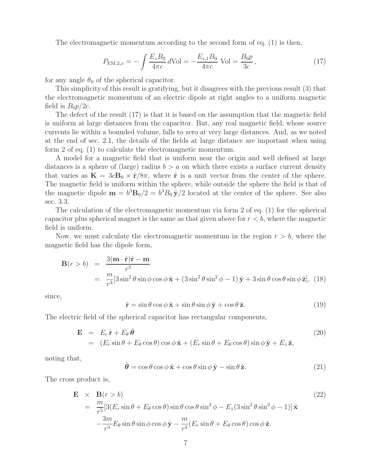The electromagnetic momentum according to the second form of eq. (1) is then,

$$
P_{\text{EM},2,x} = -\int \frac{E_z B_0}{4\pi c} d\text{Vol} = -\frac{E_{z,1} B_0}{4\pi c} \text{ Vol} = \frac{B_0 p}{3c},\tag{17}
$$

for any angle  $\theta_0$  of the spherical capacitor.

This simplicity of this result is gratifying, but it disagrees with the previous result (3) that the electromagnetic momentum of an electric dipole at right angles to a uniform magnetic field is  $B_0p/2c$ .

The defect of the result (17) is that it is based on the assumption that the magnetic field is uniform at large distances from the capacitor. But, any real magnetic field, whose source currents lie within a bounded volume, falls to zero at very large distances. And, as we noted at the end of sec. 2.1, the details of the fields at large distance are important when using form 2 of eq. (1) to calculate the electromagnetic momentum.

A model for a magnetic field that is uniform near the origin and well defined at large distances is a sphere of (large) radius  $b > a$  on which there exists a surface current density that varies as  $\mathbf{K} = 3c\mathbf{B}_0 \times \hat{\mathbf{r}}/8\pi$ , where  $\hat{\mathbf{r}}$  is a unit vector from the center of the sphere. The magnetic field is uniform within the sphere, while outside the sphere the field is that of the magnetic dipole  $\mathbf{m} = b^3 \mathbf{B}_0/2 = b^3 B_0 \hat{\mathbf{y}}/2$  located at the center of the sphere. See also sec. 3.3.

The calculation of the electromagnetic momentum via form 2 of eq. (1) for the spherical capacitor plus spherical magnet is the same as that given above for  $r < b$ , where the magnetic field is uniform.

Now, we must calculate the electromagnetic momentum in the region  $r > b$ , where the magnetic field has the dipole form,

$$
\mathbf{B}(r > b) = \frac{3(\mathbf{m} \cdot \hat{\mathbf{r}})\hat{\mathbf{r}} - \mathbf{m}}{r^3}
$$
  
= 
$$
\frac{m}{r^3} [3 \sin^2 \theta \sin \phi \cos \phi \hat{\mathbf{x}} + (3 \sin^2 \theta \sin^2 \phi - 1) \hat{\mathbf{y}} + 3 \sin \theta \cos \theta \sin \phi \hat{\mathbf{z}}],
$$
 (18)

since,

$$
\hat{\mathbf{r}} = \sin \theta \cos \phi \, \hat{\mathbf{x}} + \sin \theta \sin \phi \, \hat{\mathbf{y}} + \cos \theta \, \hat{\mathbf{z}}.\tag{19}
$$

The electric field of the spherical capacitor has rectangular components,

$$
\mathbf{E} = E_r \hat{\mathbf{r}} + E_\theta \hat{\boldsymbol{\theta}} \n= (E_r \sin \theta + E_\theta \cos \theta) \cos \phi \hat{\mathbf{x}} + (E_r \sin \theta + E_\theta \cos \theta) \sin \phi \hat{\mathbf{y}} + E_z \hat{\mathbf{z}},
$$
\n(20)

noting that,

$$
\hat{\boldsymbol{\theta}} = \cos \theta \cos \phi \, \hat{\mathbf{x}} + \cos \theta \sin \phi \, \hat{\mathbf{y}} - \sin \theta \, \hat{\mathbf{z}}.\tag{21}
$$

The cross product is,

$$
\mathbf{E} \times \mathbf{B}(r > b)
$$
\n
$$
= \frac{m}{r^3} [3(E_r \sin \theta + E_\theta \cos \theta) \sin \theta \cos \theta \sin^2 \phi - E_z (3 \sin^2 \theta \sin^2 \phi - 1)] \hat{\mathbf{x}}
$$
\n
$$
- \frac{3m}{r^3} E_\theta \sin \theta \sin \phi \cos \phi \hat{\mathbf{y}} - \frac{m}{r^3} (E_r \sin \theta + E_\theta \cos \theta) \cos \phi \hat{\mathbf{z}}.
$$
\n(22)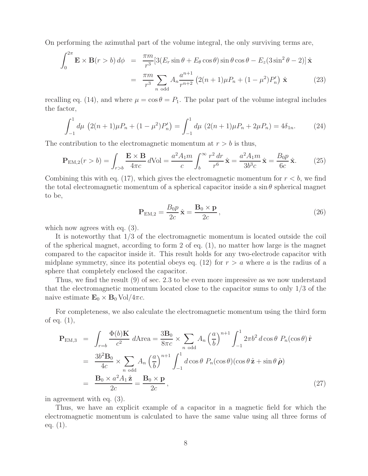On performing the azimuthal part of the volume integral, the only surviving terms are,

$$
\int_0^{2\pi} \mathbf{E} \times \mathbf{B}(r > b) d\phi = \frac{\pi m}{r^3} [3(E_r \sin \theta + E_\theta \cos \theta) \sin \theta \cos \theta - E_z (3 \sin^2 \theta - 2)] \hat{\mathbf{x}} \n= \frac{\pi m}{r^3} \sum_{n \text{ odd}} A_n \frac{a^{n+1}}{r^{n+2}} (2(n+1)\mu P_n + (1-\mu^2)P'_n) \hat{\mathbf{x}} \qquad (23)
$$

recalling eq. (14), and where  $\mu = \cos \theta = P_1$ . The polar part of the volume integral includes the factor,

$$
\int_{-1}^{1} d\mu \left( 2(n+1)\mu P_n + (1-\mu^2)P_n' \right) = \int_{-1}^{1} d\mu \left( 2(n+1)\mu P_n + 2\mu P_n \right) = 4\delta_{1n}.
$$
 (24)

The contribution to the electromagnetic momentum at  $r > b$  is thus,

$$
\mathbf{P}_{\text{EM},2}(r > b) = \int_{r > b} \frac{\mathbf{E} \times \mathbf{B}}{4\pi c} d\text{Vol} = \frac{a^2 A_1 m}{c} \int_b^{\infty} \frac{r^2 dr}{r^6} \hat{\mathbf{x}} = \frac{a^2 A_1 m}{3b^3 c} \hat{\mathbf{x}} = \frac{B_0 p}{6c} \hat{\mathbf{x}}.
$$
 (25)

Combining this with eq. (17), which gives the electromagnetic momentum for  $r < b$ , we find the total electromagnetic momentum of a spherical capacitor inside a  $\sin \theta$  spherical magnet to be,

$$
\mathbf{P}_{\text{EM},2} = \frac{B_0 p}{2c} \hat{\mathbf{x}} = \frac{\mathbf{B}_0 \times \mathbf{p}}{2c},\tag{26}
$$

which now agrees with eq.  $(3)$ .

It is noteworthy that 1/3 of the electromagnetic momentum is located outside the coil of the spherical magnet, according to form 2 of eq. (1), no matter how large is the magnet compared to the capacitor inside it. This result holds for any two-electrode capacitor with midplane symmetry, since its potential obeys eq. (12) for  $r > a$  where a is the radius of a sphere that completely enclosed the capacitor.

Thus, we find the result (9) of sec. 2.3 to be even more impressive as we now understand that the electromagnetic momentum located close to the capacitor sums to only 1/3 of the naive estimate  $\mathbf{E}_0 \times \mathbf{B}_0$  Vol/4 $\pi c$ .

For completeness, we also calculate the electromagnetic momentum using the third form of eq. (1),

$$
\mathbf{P}_{\text{EM},3} = \int_{r=b} \frac{\Phi(b)\mathbf{K}}{c^2} d\text{Area} = \frac{3\mathbf{B}_0}{8\pi c} \times \sum_{n \text{ odd}} A_n \left(\frac{a}{b}\right)^{n+1} \int_{-1}^1 2\pi b^2 d\cos\theta \ P_n(\cos\theta) \hat{\mathbf{r}}
$$

$$
= \frac{3b^2 \mathbf{B}_0}{4c} \times \sum_{n \text{ odd}} A_n \left(\frac{a}{b}\right)^{n+1} \int_{-1}^1 d\cos\theta \ P_n(\cos\theta) (\cos\theta \hat{\mathbf{z}} + \sin\theta \hat{\boldsymbol{\rho}})
$$

$$
= \frac{\mathbf{B}_0 \times a^2 A_1 \hat{\mathbf{z}}}{2c} = \frac{\mathbf{B}_0 \times \mathbf{p}}{2c}, \qquad (27)
$$

in agreement with eq. (3).

Thus, we have an explicit example of a capacitor in a magnetic field for which the electromagnetic momentum is calculated to have the same value using all three forms of eq. (1).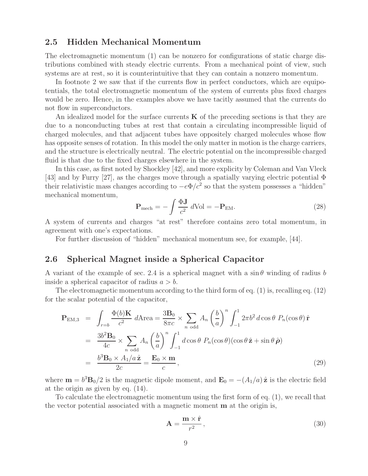#### **2.5 Hidden Mechanical Momentum**

The electromagnetic momentum (1) can be nonzero for configurations of static charge distributions combined with steady electric currents. From a mechanical point of view, such systems are at rest, so it is counterintuitive that they can contain a nonzero momentum.

In footnote 2 we saw that if the currents flow in perfect conductors, which are equipotentials, the total electromagnetic momentum of the system of currents plus fixed charges would be zero. Hence, in the examples above we have tacitly assumed that the currents do not flow in superconductors.

An idealized model for the surface currents  $\bf{K}$  of the preceding sections is that they are due to a nonconducting tubes at rest that contain a circulating incompressible liquid of charged molecules, and that adjacent tubes have oppositely charged molecules whose flow has opposite senses of rotation. In this model the only matter in motion is the charge carriers, and the structure is electrically neutral. The electric potential on the incompressible charged fluid is that due to the fixed charges elsewhere in the system.

In this case, as first noted by Shockley [42], and more explicity by Coleman and Van Vleck [43] and by Furry [27], as the charges move through a spatially varying electric potential Φ their relativistic mass changes according to  $-e\Phi/c^2$  so that the system possesses a "hidden" mechanical momentum,

$$
\mathbf{P}_{\text{mech}} = -\int \frac{\Phi \mathbf{J}}{c^2} \, d\text{Vol} = -\mathbf{P}_{\text{EM}}.\tag{28}
$$

A system of currents and charges "at rest" therefore contains zero total momentum, in agreement with one's expectations.

For further discussion of "hidden" mechanical momentum see, for example, [44].

#### **2.6 Spherical Magnet inside a Spherical Capacitor**

A variant of the example of sec. 2.4 is a spherical magnet with a  $\sin \theta$  winding of radius b inside a spherical capacitor of radius  $a > b$ .

The electromagnetic momentum according to the third form of eq. (1) is, recalling eq. (12) for the scalar potential of the capacitor,

$$
\mathbf{P}_{\text{EM},3} = \int_{r=b} \frac{\Phi(b)\mathbf{K}}{c^2} d\text{Area} = \frac{3\mathbf{B}_0}{8\pi c} \times \sum_{n \text{ odd}} A_n \left(\frac{b}{a}\right)^n \int_{-1}^1 2\pi b^2 d\cos\theta \ P_n(\cos\theta) \hat{\mathbf{r}}
$$

$$
= \frac{3b^2 \mathbf{B}_0}{4c} \times \sum_{n \text{ odd}} A_n \left(\frac{b}{a}\right)^n \int_{-1}^1 d\cos\theta \ P_n(\cos\theta) (\cos\theta \hat{\mathbf{z}} + \sin\theta \hat{\boldsymbol{\rho}})
$$

$$
= \frac{b^3 \mathbf{B}_0 \times A_1/a \hat{\mathbf{z}}}{2c} = \frac{\mathbf{E}_0 \times \mathbf{m}}{c},
$$
(29)

where  $\mathbf{m} = b^3 \mathbf{B}_0/2$  is the magnetic dipole moment, and  $\mathbf{E}_0 = -(A_1/a)\hat{\mathbf{z}}$  is the electric field at the origin as given by eq. (14).

To calculate the electromagnetic momentum using the first form of eq. (1), we recall that the vector potential associated with a magnetic moment **m** at the origin is,

$$
\mathbf{A} = \frac{\mathbf{m} \times \hat{\mathbf{r}}}{r^2},\tag{30}
$$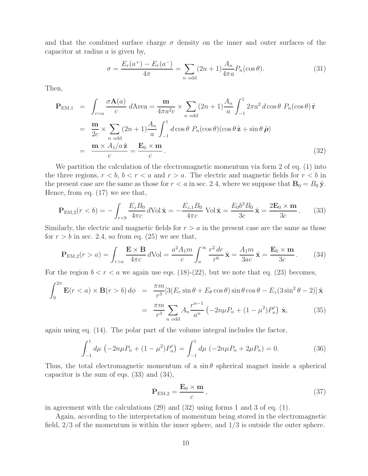and that the combined surface charge  $\sigma$  density on the inner and outer surfaces of the capacitor at radius  $\alpha$  is given by,

$$
\sigma = \frac{E_r(a^+) - E_r(a^-)}{4\pi} = \sum_{n \text{ odd}} (2n+1) \frac{A_n}{4\pi a} P_n(\cos \theta). \tag{31}
$$

Then,

$$
\mathbf{P}_{\text{EM},1} = \int_{r=a} \frac{\sigma \mathbf{A}(a)}{c} d\text{Area} = \frac{\mathbf{m}}{4\pi a^2 c} \times \sum_{n \text{ odd}} (2n+1) \frac{A_n}{a} \int_{-1}^1 2\pi a^2 d\cos\theta \ P_n(\cos\theta) \hat{\mathbf{r}}
$$

$$
= \frac{\mathbf{m}}{2c} \times \sum_{n \text{ odd}} (2n+1) \frac{A_n}{a} \int_{-1}^1 d\cos\theta \ P_n(\cos\theta) (\cos\theta \hat{\mathbf{z}} + \sin\theta \hat{\boldsymbol{\rho}})
$$

$$
= \frac{\mathbf{m} \times A_1/a \hat{\mathbf{z}}}{c} = \frac{\mathbf{E}_0 \times \mathbf{m}}{c}.
$$
(32)

We partition the calculation of the electromagnetic momentum via form 2 of eq. (1) into the three regions,  $r < b$ ,  $b < r < a$  and  $r > a$ . The electric and magnetic fields for  $r < b$  in the present case are the same as those for  $r < a$  in sec. 2.4, where we suppose that  $\mathbf{B}_0 = B_0 \hat{\mathbf{y}}$ . Hence, from eq. (17) we see that,

$$
\mathbf{P}_{\text{EM},2}(r < b) = -\int_{r < b} \frac{E_z B_0}{4\pi c} d\text{Vol}\,\hat{\mathbf{x}} = -\frac{E_{z,1} B_0}{4\pi c} \text{Vol}\,\hat{\mathbf{x}} = \frac{E_0 b^3 B_0}{3c} \hat{\mathbf{x}} = \frac{2\mathbf{E}_0 \times \mathbf{m}}{3c}.
$$
 (33)

Similarly, the electric and magnetic fields for  $r > a$  in the present case are the same as those for  $r > b$  in sec. 2.4, so from eq. (25) we see that,

$$
\mathbf{P}_{\mathrm{EM},2}(r > a) = \int_{r>a} \frac{\mathbf{E} \times \mathbf{B}}{4\pi c} d\mathrm{Vol} = \frac{a^2 A_1 m}{c} \int_a^\infty \frac{r^2 dr}{r^6} \hat{\mathbf{x}} = \frac{A_1 m}{3ac} \hat{\mathbf{x}} = \frac{\mathbf{E}_0 \times \mathbf{m}}{3c}.
$$
 (34)

For the region  $b < r < a$  we again use eqs. (18)-(22), but we note that eq. (23) becomes,

$$
\int_0^{2\pi} \mathbf{E}(r < a) \times \mathbf{B}(r > b) \, d\phi = \frac{\pi m}{r^3} [3(E_r \sin \theta + E_\theta \cos \theta) \sin \theta \cos \theta - E_z (3 \sin^2 \theta - 2)] \hat{\mathbf{x}} \\
= \frac{\pi m}{r^3} \sum_{n \text{ odd}} A_n \frac{r^{n-1}}{a^n} \left( -2n\mu P_n + (1 - \mu^2) P_n' \right) \hat{\mathbf{x}},\n\tag{35}
$$

again using eq. (14). The polar part of the volume integral includes the factor,

$$
\int_{-1}^{1} d\mu \, \left( -2n\mu P_n + (1 - \mu^2) P_n' \right) = \int_{-1}^{1} d\mu \, \left( -2n\mu P_n + 2\mu P_n \right) = 0. \tag{36}
$$

Thus, the total electromagnetic momentum of a  $\sin \theta$  spherical magnet inside a spherical capacitor is the sum of eqs. (33) and (34),

$$
\mathbf{P}_{\text{EM},2} = \frac{\mathbf{E}_0 \times \mathbf{m}}{c},\tag{37}
$$

in agreement with the calculations (29) and (32) using forms 1 and 3 of eq. (1).

Again, according to the interpretation of momentum being stored in the electromagnetic field, 2/3 of the momentum is within the inner sphere, and 1/3 is outside the outer sphere.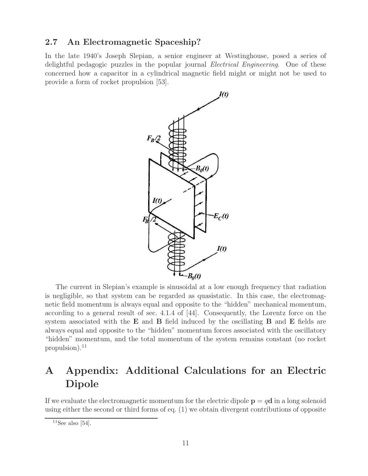#### **2.7 An Electromagnetic Spaceship?**

In the late 1940's Joseph Slepian, a senior engineer at Westinghouse, posed a series of delightful pedagogic puzzles in the popular journal *Electrical Engineering*. One of these concerned how a capacitor in a cylindrical magnetic field might or might not be used to provide a form of rocket propulsion [53].



The current in Slepian's example is sinusoidal at a low enough frequency that radiation is negligible, so that system can be regarded as quasistatic. In this case, the electromagnetic field momentum is always equal and opposite to the "hidden" mechanical momentum, according to a general result of sec. 4.1.4 of [44]. Consequently, the Lorentz force on the system associated with the **E** and **B** field induced by the oscillating **B** and **E** fields are always equal and opposite to the "hidden" momentum forces associated with the oscillatory "hidden" momentum, and the total momentum of the system remains constant (no rocket propulsion). $^{11}$ 

# **A Appendix: Additional Calculations for an Electric Dipole**

If we evaluate the electromagnetic momentum for the electric dipole  $\mathbf{p} = q\mathbf{d}$  in a long solenoid using either the second or third forms of eq. (1) we obtain divergent contributions of opposite

 $11$ See also [54].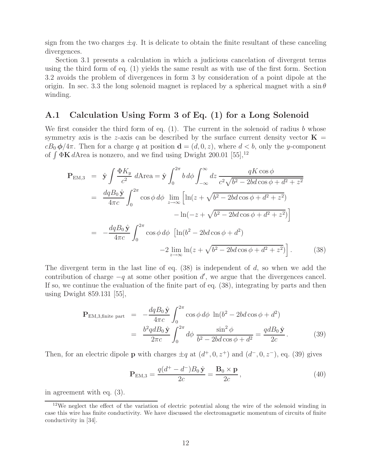sign from the two charges  $\pm q$ . It is delicate to obtain the finite resultant of these canceling divergences.

Section 3.1 presents a calculation in which a judicious cancelation of divergent terms using the third form of eq. (1) yields the same result as with use of the first form. Section 3.2 avoids the problem of divergences in form 3 by consideration of a point dipole at the origin. In sec. 3.3 the long solenoid magnet is replaced by a spherical magnet with a  $\sin \theta$ winding.

#### **A.1 Calculation Using Form 3 of Eq. (1) for a Long Solenoid**

We first consider the third form of eq.  $(1)$ . The current in the solenoid of radius b whose symmetry axis is the z-axis can be described by the surface current density vector  $\mathbf{K} =$  $cB_0 \phi/4\pi$ . Then for a charge q at position  $\mathbf{d} = (d, 0, z)$ , where  $d < b$ , only the y-component of  $\int \Phi \mathbf{K} dA$  rea is nonzero, and we find using Dwight 200.01 [55],<sup>12</sup>

$$
\mathbf{P}_{\text{EM},3} = \hat{\mathbf{y}} \int \frac{\Phi K_y}{c^2} d\text{Area} = \hat{\mathbf{y}} \int_0^{2\pi} b \, d\phi \int_{-\infty}^{\infty} dz \, \frac{qK \cos \phi}{c^2 \sqrt{b^2 - 2bd \cos \phi + d^2 + z^2}} \n= \frac{dq B_0 \hat{\mathbf{y}}}{4\pi c} \int_0^{2\pi} \cos \phi \, d\phi \lim_{z \to \infty} \left[ \ln(z + \sqrt{b^2 - 2bd \cos \phi + d^2 + z^2}) -\ln(-z + \sqrt{b^2 - 2bd \cos \phi + d^2 + z^2}) \right] \n= -\frac{dq B_0 \hat{\mathbf{y}}}{4\pi c} \int_0^{2\pi} \cos \phi \, d\phi \left[ \ln(b^2 - 2bd \cos \phi + d^2) -2 \lim_{z \to \infty} \ln(z + \sqrt{b^2 - 2bd \cos \phi + d^2 + z^2}) \right].
$$
\n(38)

The divergent term in the last line of eq.  $(38)$  is independent of d, so when we add the contribution of charge  $-q$  at some other position  $d'$ , we argue that the divergences cancel. If so, we continue the evaluation of the finite part of eq. (38), integrating by parts and then using Dwight 859.131 [55],

$$
\mathbf{P}_{\text{EM,3,finite part}} = -\frac{dqB_0 \hat{\mathbf{y}}}{4\pi c} \int_0^{2\pi} \cos\phi \, d\phi \, \ln(b^2 - 2bd \cos\phi + d^2) \n= \frac{b^2 q dB_0 \hat{\mathbf{y}}}{2\pi c} \int_0^{2\pi} d\phi \, \frac{\sin^2\phi}{b^2 - 2bd \cos\phi + d^2} = \frac{qdB_0 \hat{\mathbf{y}}}{2c}.
$$
\n(39)

Then, for an electric dipole **p** with charges  $\pm q$  at  $(d^+, 0, z^+)$  and  $(d^-, 0, z^-)$ , eq. (39) gives

$$
\mathbf{P}_{\text{EM},3} = \frac{q(d^+ - d^-)B_0 \hat{\mathbf{y}}}{2c} = \frac{\mathbf{B}_0 \times \mathbf{p}}{2c},\tag{40}
$$

in agreement with eq. (3).

<sup>&</sup>lt;sup>12</sup>We neglect the effect of the variation of electric potential along the wire of the solenoid winding in case this wire has finite conductivity. We have discussed the electromagnetic momentum of circuits of finite conductivity in [34].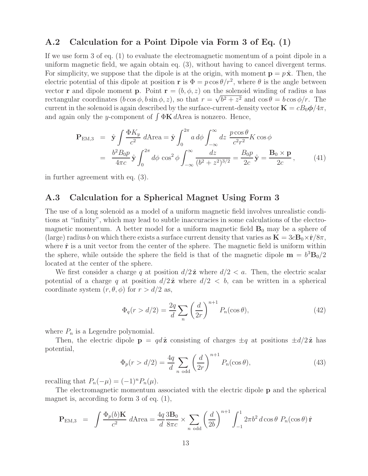#### **A.2 Calculation for a Point Dipole via Form 3 of Eq. (1)**

If we use form 3 of eq. (1) to evaluate the electromagnetic momentum of a point dipole in a uniform magnetic field, we again obtain eq. (3), without having to cancel divergent terms. For simplicity, we suppose that the dipole is at the origin, with moment  $\mathbf{p} = p\hat{\mathbf{x}}$ . Then, the electric potential of this dipole at position **r** is  $\Phi = p \cos \theta / r^2$ , where  $\theta$  is the angle between vector **r** and dipole moment **p**. Point  $\mathbf{r} = (b, \phi, z)$  on the solenoid winding of radius a has vector **r** and dipole moment **p**. Foint  $\mathbf{r} = (0, \varphi, z)$  on the solenoid winding or radius *a* has<br>rectangular coordinates  $(b \cos \phi, b \sin \phi, z)$ , so that  $r = \sqrt{b^2 + z^2}$  and  $\cos \theta = b \cos \phi/r$ . The current in the solenoid is again described by the surface-current-density vector  $\mathbf{K} = cB_0\phi/4\pi$ , and again only the y-component of  $\int \Phi \mathbf{K} dA$  rea is nonzero. Hence,

$$
\mathbf{P}_{\text{EM},3} = \hat{\mathbf{y}} \int \frac{\Phi K_y}{c^2} d\text{Area} = \hat{\mathbf{y}} \int_0^{2\pi} a \, d\phi \int_{-\infty}^{\infty} dz \, \frac{p \cos \theta}{c^2 r^2} K \cos \phi
$$

$$
= \frac{b^2 B_0 p}{4\pi c} \hat{\mathbf{y}} \int_0^{2\pi} d\phi \, \cos^2 \phi \int_{-\infty}^{\infty} \frac{dz}{(b^2 + z^2)^{3/2}} = \frac{B_0 p}{2c} \hat{\mathbf{y}} = \frac{\mathbf{B}_0 \times \mathbf{p}}{2c},\tag{41}
$$

in further agreement with eq. (3).

### **A.3 Calculation for a Spherical Magnet Using Form 3**

The use of a long solenoid as a model of a uniform magnetic field involves unrealistic conditions at "infinity", which may lead to subtle inaccuracies in some calculations of the electromagnetic momentum. A better model for a uniform magnetic field  $\mathbf{B}_0$  may be a sphere of (large) radius b on which there exists a surface current density that varies as  $\mathbf{K} = 3c\mathbf{B}_0 \times \hat{\mathbf{r}}/8\pi$ , where  $\hat{\bf r}$  is a unit vector from the center of the sphere. The magnetic field is uniform within the sphere, while outside the sphere the field is that of the magnetic dipole  $\mathbf{m} = b^3 \mathbf{B}_0/2$ located at the center of the sphere.

We first consider a charge q at position  $d/2\hat{z}$  where  $d/2 < a$ . Then, the electric scalar potential of a charge q at position  $d/2\hat{z}$  where  $d/2 < b$ , can be written in a spherical coordinate system  $(r, \theta, \phi)$  for  $r > d/2$  as,

$$
\Phi_q(r > d/2) = \frac{2q}{d} \sum_n \left(\frac{d}{2r}\right)^{n+1} P_n(\cos \theta),\tag{42}
$$

where  $P_n$  is a Legendre polynomial.

Then, the electric dipole  $\mathbf{p} = q\,d\hat{\mathbf{z}}$  consisting of charges  $\pm q$  at positions  $\pm d/2\hat{\mathbf{z}}$  has potential,

$$
\Phi_p(r > d/2) = \frac{4q}{d} \sum_{n \text{ odd}} \left(\frac{d}{2r}\right)^{n+1} P_n(\cos \theta),\tag{43}
$$

recalling that  $P_n(-\mu)=(-1)^nP_n(\mu)$ .

The electromagnetic momentum associated with the electric dipole **p** and the spherical magnet is, according to form 3 of eq. (1),

$$
\mathbf{P}_{\text{EM},3} = \int \frac{\Phi_p(b)\mathbf{K}}{c^2} d\text{Area} = \frac{4q}{d} \frac{3\mathbf{B}_0}{8\pi c} \times \sum_{n \text{ odd}} \left(\frac{d}{2b}\right)^{n+1} \int_{-1}^1 2\pi b^2 d\cos\theta \ P_n(\cos\theta) \hat{\mathbf{r}}
$$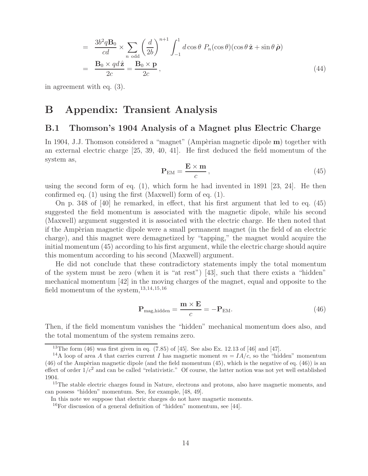$$
= \frac{3b^2q\mathbf{B}_0}{cd} \times \sum_{n \text{ odd}} \left(\frac{d}{2b}\right)^{n+1} \int_{-1}^1 d\cos\theta \ P_n(\cos\theta)(\cos\theta \hat{\mathbf{z}} + \sin\theta \hat{\boldsymbol{\rho}})
$$

$$
= \frac{\mathbf{B}_0 \times q d\hat{\mathbf{z}}}{2c} = \frac{\mathbf{B}_0 \times \mathbf{p}}{2c},\tag{44}
$$

in agreement with eq. (3).

## **B Appendix: Transient Analysis**

#### **B.1 Thomson's 1904 Analysis of a Magnet plus Electric Charge**

In 1904, J.J. Thomson considered a "magnet" (Ampèrian magnetic dipole **m**) together with an external electric charge [25, 39, 40, 41]. He first deduced the field momentum of the system as,

$$
\mathbf{P}_{\rm EM} = \frac{\mathbf{E} \times \mathbf{m}}{c},\tag{45}
$$

using the second form of eq. (1), which form he had invented in 1891 [23, 24]. He then confirmed eq. (1) using the first (Maxwell) form of eq. (1).

On p. 348 of [40] he remarked, in effect, that his first argument that led to eq. (45) suggested the field momentum is associated with the magnetic dipole, while his second (Maxwell) argument suggested it is associated with the electric charge. He then noted that if the Ampèrian magnetic dipole were a small permanent magnet (in the field of an electric charge), and this magnet were demagnetized by "tapping," the magnet would acquire the initial momentum (45) according to his first argument, while the electric charge should aquire this momentum according to his second (Maxwell) argument.

He did not conclude that these contradictory statements imply the total momentum of the system must be zero (when it is "at rest") [43], such that there exists a "hidden" mechanical momentum [42] in the moving charges of the magnet, equal and opposite to the field momentum of the system, $13,14,15,16$ 

$$
\mathbf{P}_{\text{mag,hidden}} = \frac{\mathbf{m} \times \mathbf{E}}{c} = -\mathbf{P}_{\text{EM}}.\tag{46}
$$

Then, if the field momentum vanishes the "hidden" mechanical momentum does also, and the total momentum of the system remains zero.

<sup>&</sup>lt;sup>13</sup>The form  $(46)$  was first given in eq.  $(7.85)$  of [45]. See also Ex. 12.13 of [46] and [47].

<sup>&</sup>lt;sup>14</sup>A loop of area A that carries current I has magnetic moment  $m = IA/c$ , so the "hidden" momentum  $(46)$  of the Ampèrian magnetic dipole (and the field momentum  $(45)$ , which is the negative of eq.  $(46)$ ) is an effect of order  $1/c^2$  and can be called "relativistic." Of course, the latter notion was not yet well established 1904.

<sup>&</sup>lt;sup>15</sup>The stable electric charges found in Nature, electrons and protons, also have magnetic moments, and can possess "hidden" momentum. See, for example, [48, 49].

In this note we suppose that electric charges do not have magnetic moments.

 $16$ For discussion of a general definition of "hidden" momentum, see [44].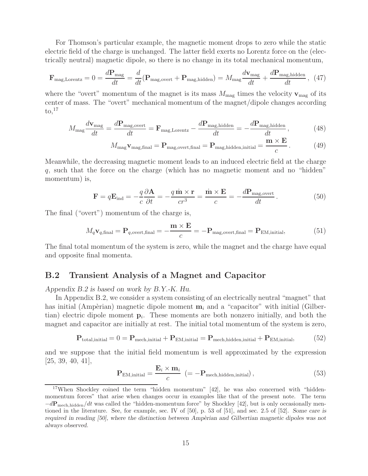For Thomson's particular example, the magnetic moment drops to zero while the static electric field of the charge is unchanged. The latter field exerts no Lorentz force on the (electrically neutral) magnetic dipole, so there is no change in its total mechanical momentum,

$$
\mathbf{F}_{\text{mag,Lorentz}} = 0 = \frac{d\mathbf{P}_{\text{mag}}}{dt} = \frac{d}{dt}(\mathbf{P}_{\text{mag,overt}} + \mathbf{P}_{\text{mag,hidden}}) = M_{\text{mag}}\frac{d\mathbf{v}_{\text{mag}}}{dt} + \frac{d\mathbf{P}_{\text{mag,hidden}}}{dt}, (47)
$$

where the "overt" momentum of the magnet is its mass  $M_{\text{mag}}$  times the velocity  $\mathbf{v}_{\text{mag}}$  of its center of mass. The "overt" mechanical momentum of the magnet/dipole changes according  $\mathrm{to,}^{17}$ 

$$
M_{\rm mag} \frac{d\mathbf{v}_{\rm mag}}{dt} = \frac{d\mathbf{P}_{\rm mag,overt}}{dt} = \mathbf{F}_{\rm mag, Lorentz} - \frac{d\mathbf{P}_{\rm mag, hidden}}{dt} = -\frac{d\mathbf{P}_{\rm mag, hidden}}{dt},\tag{48}
$$

$$
M_{\text{mag}} \mathbf{v}_{\text{mag,final}} = \mathbf{P}_{\text{mag,overt,final}} = \mathbf{P}_{\text{mag,hidden,initial}} = \frac{\mathbf{m} \times \mathbf{E}}{c}.
$$
 (49)

Meanwhile, the decreasing magnetic moment leads to an induced electric field at the charge q, such that the force on the charge (which has no magnetic moment and no "hidden" momentum) is,

$$
\mathbf{F} = q\mathbf{E}_{\text{ind}} = -\frac{q}{c}\frac{\partial \mathbf{A}}{\partial t} = -\frac{q\,\mathbf{\dot{m}} \times \mathbf{r}}{cr^3} = \frac{\mathbf{\dot{m}} \times \mathbf{E}}{c} = -\frac{d\mathbf{P}_{\text{mag, overt}}}{dt} \,. \tag{50}
$$

The final ("overt") momentum of the charge is,

$$
M_q \mathbf{v}_{q,\text{final}} = \mathbf{P}_{q,\text{overt,\text{final}}} = -\frac{\mathbf{m} \times \mathbf{E}}{c} = -\mathbf{P}_{\text{mag,overt,\text{final}}} = \mathbf{P}_{\text{EM,initial}},\tag{51}
$$

The final total momentum of the system is zero, while the magnet and the charge have equal and opposite final momenta.

#### **B.2 Transient Analysis of a Magnet and Capacitor**

*Appendix B.2 is based on work by B.Y.-K. Hu.*

In Appendix B.2, we consider a system consisting of an electrically neutral "magnet" that has initial (Ampèrian) magnetic dipole moment  $\mathbf{m}_i$  and a "capacitor" with initial (Gilbertian) electric dipole moment  $\mathbf{p}_i$ . These moments are both nonzero initially, and both the magnet and capacitor are initially at rest. The initial total momentum of the system is zero,

$$
\mathbf{P}_{\text{total,initial}} = 0 = \mathbf{P}_{\text{mech,initial}} + \mathbf{P}_{\text{EM,initial}} = \mathbf{P}_{\text{mech,hidden,initial}} + \mathbf{P}_{\text{EM,initial}}, \tag{52}
$$

and we suppose that the initial field momentum is well approximated by the expression [25, 39, 40, 41],

$$
\mathbf{P}_{\text{EM,initial}} = \frac{\mathbf{E}_i \times \mathbf{m}_i}{c} \ \left(= -\mathbf{P}_{\text{mech,hidden,initial}} \right),\tag{53}
$$

<sup>17</sup>When Shockley coined the term "hidden momentum" [42], he was also concerned with "hiddenmomentum forces" that arise when changes occur in examples like that of the present note. The term  $-dP_{\text{mech},\text{hidden}}/dt$  was called the "hidden-momentum force" by Shockley [42], but is only occasionally mentioned in the literature. See, for example, sec. IV of [50], p. 53 of [51], and sec. 2.5 of [52]. *Some care is required in reading [50], where the distinction between Ampèrian and Gilbertian magnetic dipoles was not always observed.*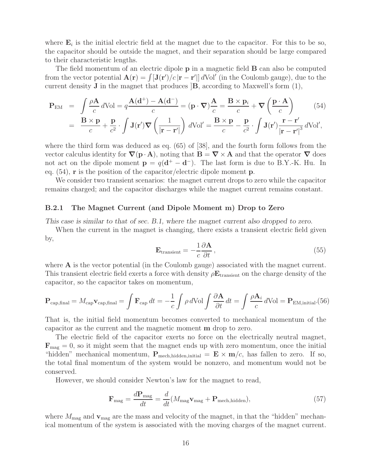where  $\mathbf{E}_i$  is the initial electric field at the magnet due to the capacitor. For this to be so, the capacitor should be outside the magnet, and their separation should be large compared to their characteristic lengths.

The field momentum of an electric dipole **p** in a magnetic field **B** can also be computed from the vector potential  $\mathbf{A}(\mathbf{r}) = \int [\mathbf{J}(\mathbf{r'})/c|\mathbf{r} - \mathbf{r'}|] dVol'$  (in the Coulomb gauge), due to the current density **J** in the magnet that produces  $|\mathbf{B}|$ , according to Maxwell's form  $(1)$ ,

$$
\mathbf{P}_{\text{EM}} = \int \frac{\rho \mathbf{A}}{c} d\text{Vol} = q \frac{\mathbf{A}(\mathbf{d}^{+}) - \mathbf{A}(\mathbf{d}^{-})}{c} = (\mathbf{p} \cdot \nabla) \frac{\mathbf{A}}{c} = \frac{\mathbf{B} \times \mathbf{p}_{i}}{c} + \nabla \left(\frac{\mathbf{p} \cdot \mathbf{A}}{c}\right)
$$
(54)  
= 
$$
\frac{\mathbf{B} \times \mathbf{p}}{c} + \frac{\mathbf{p}}{c^{2}} \cdot \int \mathbf{J}(\mathbf{r}') \nabla \left(\frac{1}{|\mathbf{r} - \mathbf{r}'|}\right) d\text{Vol}' = \frac{\mathbf{B} \times \mathbf{p}}{c} - \frac{\mathbf{p}}{c^{2}} \cdot \int \mathbf{J}(\mathbf{r}') \frac{\mathbf{r} - \mathbf{r}'}{|\mathbf{r} - \mathbf{r}'|^{3}} d\text{Vol}',
$$

where the third form was deduced as eq. (65) of [38], and the fourth form follows from the vector calculus identity for  $\nabla(\mathbf{p} \cdot \mathbf{A})$ , noting that  $\mathbf{B} = \nabla \times \mathbf{A}$  and that the operator  $\nabla$  does not act on the dipole moment  $\mathbf{p} = q(\mathbf{d}^+ - \mathbf{d}^-)$ . The last form is due to B.Y.-K. Hu. In eq. (54), **r** is the position of the capacitor/electric dipole moment **p**.

We consider two transient scenarios: the magnet current drops to zero while the capacitor remains charged; and the capacitor discharges while the magnet current remains constant.

#### **B.2.1 The Magnet Current (and Dipole Moment m) Drop to Zero**

*This case is similar to that of sec. B.1, where the magnet current also dropped to zero.*

When the current in the magnet is changing, there exists a transient electric field given by,

$$
\mathbf{E}_{\text{transient}} = -\frac{1}{c} \frac{\partial \mathbf{A}}{\partial t},\tag{55}
$$

where **A** is the vector potential (in the Coulomb gauge) associated with the magnet current. This transient electric field exerts a force with density ρ**E**transient on the charge density of the capacitor, so the capacitor takes on momentum,

$$
\mathbf{P}_{\text{cap,final}} = M_{\text{cap}} \mathbf{v}_{\text{cap,final}} = \int \mathbf{F}_{\text{cap}} dt = -\frac{1}{c} \int \rho \, d\text{Vol} \int \frac{\partial \mathbf{A}}{\partial t} dt = \int \frac{\rho \mathbf{A}_i}{c} d\text{Vol} = \mathbf{P}_{\text{EM,initial}}(56)
$$

That is, the initial field momentum becomes converted to mechanical momentum of the capacitor as the current and the magnetic moment **m** drop to zero.

The electric field of the capacitor exerts no force on the electrically neutral magnet,  $\mathbf{F}_{\text{mag}} = 0$ , so it might seem that the magnet ends up with zero momentum, once the initial "hidden" mechanical momentum,  $P_{\text{mech,hidden,initial}} = \mathbf{E} \times \mathbf{m}/c$ , has fallen to zero. If so, the total final momentum of the system would be nonzero, and momentum would not be conserved.

However, we should consider Newton's law for the magnet to read,

$$
\mathbf{F}_{\text{mag}} = \frac{d\mathbf{P}_{\text{mag}}}{dt} = \frac{d}{dt}(M_{\text{mag}}\mathbf{v}_{\text{mag}} + \mathbf{P}_{\text{mech,hidden}}),
$$
\n(57)

where  $M_{\text{mag}}$  and  $\mathbf{v}_{\text{mag}}$  are the mass and velocity of the magnet, in that the "hidden" mechanical momentum of the system is associated with the moving charges of the magnet current.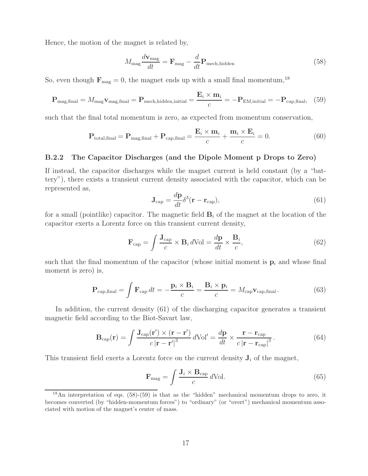Hence, the motion of the magnet is related by,

$$
M_{\text{mag}} \frac{d\mathbf{v}_{\text{mag}}}{dt} = \mathbf{F}_{\text{mag}} - \frac{d}{dt} \mathbf{P}_{\text{mech,hidden}} \tag{58}
$$

So, even though  $\mathbf{F}_{\text{mag}} = 0$ , the magnet ends up with a small final momentum,<sup>18</sup>

$$
\mathbf{P}_{\text{mag,final}} = M_{\text{mag}} \mathbf{v}_{\text{mag,final}} = \mathbf{P}_{\text{mech,hidden,initial}} = \frac{\mathbf{E}_i \times \mathbf{m}_i}{c} = -\mathbf{P}_{\text{EM,initial}} = -\mathbf{P}_{\text{cap,final}}, \tag{59}
$$

such that the final total momentum is zero, as expected from momentum conservation,

$$
\mathbf{P}_{\text{total,final}} = \mathbf{P}_{\text{mag,final}} + \mathbf{P}_{\text{cap,final}} = \frac{\mathbf{E}_i \times \mathbf{m}_i}{c} + \frac{\mathbf{m}_i \times \mathbf{E}_i}{c} = 0.
$$
 (60)

#### **B.2.2 The Capacitor Discharges (and the Dipole Moment p Drops to Zero)**

If instead, the capacitor discharges while the magnet current is held constant (by a "battery"), there exists a transient current density associated with the capacitor, which can be represented as,

$$
\mathbf{J}_{\text{cap}} = \frac{d\mathbf{p}}{dt} \delta^3(\mathbf{r} - \mathbf{r}_{\text{cap}}),\tag{61}
$$

for a small (pointlike) capacitor. The magnetic field  $\mathbf{B}_i$  of the magnet at the location of the capacitor exerts a Lorentz force on this transient current density,

$$
\mathbf{F}_{\text{cap}} = \int \frac{\mathbf{J}_{\text{cap}}}{c} \times \mathbf{B}_i \, d\text{Vol} = \frac{d\mathbf{p}}{dt} \times \frac{\mathbf{B}_i}{c},\tag{62}
$$

such that the final momentum of the capacitor (whose initial moment is  $\mathbf{p}_i$  and whose final moment is zero) is,

$$
\mathbf{P}_{\text{cap,final}} = \int \mathbf{F}_{\text{cap}} dt = -\frac{\mathbf{p}_i \times \mathbf{B}_i}{c} = \frac{\mathbf{B}_i \times \mathbf{p}_i}{c} = M_{\text{cap}} \mathbf{v}_{\text{cap,final}}.
$$
 (63)

In addition, the current density (61) of the discharging capacitor generates a transient magnetic field according to the Biot-Savart law,

$$
\mathbf{B}_{\rm cap}(\mathbf{r}) = \int \frac{\mathbf{J}_{\rm cap}(\mathbf{r}') \times (\mathbf{r} - \mathbf{r}')}{c |\mathbf{r} - \mathbf{r}'|^3} d\text{Vol}' = \frac{d\mathbf{p}}{dt} \times \frac{\mathbf{r} - \mathbf{r}_{\rm cap}}{c |\mathbf{r} - \mathbf{r}_{\rm cap}|^3}.
$$
(64)

This transient field exerts a Lorentz force on the current density  $J_i$  of the magnet,

$$
\mathbf{F}_{\text{mag}} = \int \frac{\mathbf{J}_i \times \mathbf{B}_{\text{cap}}}{c} \, d\text{Vol.} \tag{65}
$$

<sup>&</sup>lt;sup>18</sup>An interpretation of eqs.  $(58)-(59)$  is that as the "hidden" mechanical momentum drops to zero, it becomes converted (by "hidden-momentum forces") to "ordinary" (or "overt") mechanical momentum associated with motion of the magnet's center of mass.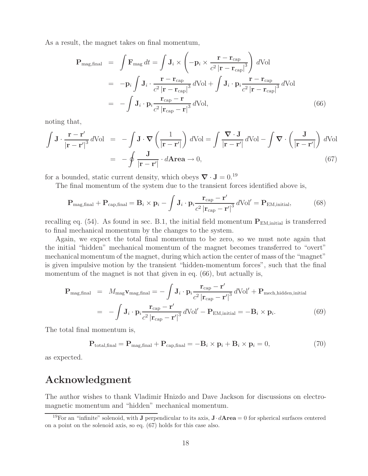As a result, the magnet takes on final momentum,

$$
\mathbf{P}_{\text{mag,final}} = \int \mathbf{F}_{\text{mag}} dt = \int \mathbf{J}_i \times \left( -\mathbf{p}_i \times \frac{\mathbf{r} - \mathbf{r}_{\text{cap}}}{c^2 |\mathbf{r} - \mathbf{r}_{\text{cap}}|^3} \right) dVol \n= -\mathbf{p}_i \int \mathbf{J}_i \cdot \frac{\mathbf{r} - \mathbf{r}_{\text{cap}}}{c^2 |\mathbf{r} - \mathbf{r}_{\text{cap}}|^3} dVol + \int \mathbf{J}_i \cdot \mathbf{p}_i \frac{\mathbf{r} - \mathbf{r}_{\text{cap}}}{c^2 |\mathbf{r} - \mathbf{r}_{\text{cap}}|^3} dVol \n= -\int \mathbf{J}_i \cdot \mathbf{p}_i \frac{\mathbf{r}_{\text{cap}} - \mathbf{r}}{c^2 |\mathbf{r}_{\text{cap}} - \mathbf{r}|^3} dVol,
$$
\n(66)

noting that,

$$
\int \mathbf{J} \cdot \frac{\mathbf{r} - \mathbf{r}'}{|\mathbf{r} - \mathbf{r}'|^3} d\text{Vol} = -\int \mathbf{J} \cdot \nabla \left(\frac{1}{|\mathbf{r} - \mathbf{r}'|}\right) d\text{Vol} = \int \frac{\nabla \cdot \mathbf{J}}{|\mathbf{r} - \mathbf{r}'|} d\text{Vol} - \int \nabla \cdot \left(\frac{\mathbf{J}}{|\mathbf{r} - \mathbf{r}'|}\right) d\text{Vol}
$$

$$
= -\oint \frac{\mathbf{J}}{|\mathbf{r} - \mathbf{r}'|} \cdot d\text{Area} \to 0,
$$
(67)

for a bounded, static current density, which obeys  $\nabla \cdot \mathbf{J} = 0$ .<sup>19</sup>

The final momentum of the system due to the transient forces identified above is,

$$
\mathbf{P}_{\text{mag,final}} + \mathbf{P}_{\text{cap,final}} = \mathbf{B}_i \times \mathbf{p}_i - \int \mathbf{J}_i \cdot \mathbf{p}_i \frac{\mathbf{r}_{\text{cap}} - \mathbf{r}'}{c^2 \left| \mathbf{r}_{\text{cap}} - \mathbf{r}' \right|^3} d\text{Vol}' = \mathbf{P}_{\text{EM,initial}},\tag{68}
$$

recalling eq.  $(54)$ . As found in sec. B.1, the initial field momentum  $P_{EM,initial}$  is transferred to final mechanical momentum by the changes to the system.

Again, we expect the total final momentum to be zero, so we must note again that the initial "hidden" mechanical momentum of the magnet becomes transferred to "overt" mechanical momentum of the magnet, during which action the center of mass of the "magnet" is given impulsive motion by the transient "hidden-momentum forces", such that the final momentum of the magnet is not that given in eq.  $(66)$ , but actually is,

$$
\mathbf{P}_{\text{mag,final}} = M_{\text{mag}} \mathbf{v}_{\text{mag,final}} = -\int \mathbf{J}_i \cdot \mathbf{p}_i \frac{\mathbf{r}_{\text{cap}} - \mathbf{r}'}{c^2 |\mathbf{r}_{\text{cap}} - \mathbf{r}'|^3} d\text{Vol}' + \mathbf{P}_{\text{mech,hidden,initial}}
$$

$$
= -\int \mathbf{J}_i \cdot \mathbf{p}_i \frac{\mathbf{r}_{\text{cap}} - \mathbf{r}'}{c^2 |\mathbf{r}_{\text{cap}} - \mathbf{r}'|^3} d\text{Vol}' - \mathbf{P}_{\text{EM,initial}} = -\mathbf{B}_i \times \mathbf{p}_i. \tag{69}
$$

The total final momentum is,

$$
\mathbf{P}_{\text{total,final}} = \mathbf{P}_{\text{mag,final}} + \mathbf{P}_{\text{cap,final}} = -\mathbf{B}_i \times \mathbf{p}_i + \mathbf{B}_i \times \mathbf{p}_i = 0, \tag{70}
$$

as expected.

## **Acknowledgment**

The author wishes to thank Vladimir Hnizdo and Dave Jackson for discussions on electromagnetic momentum and "hidden" mechanical momentum.

<sup>&</sup>lt;sup>19</sup>For an "infinite" solenoid, with **J** perpendicular to its axis,  $\mathbf{J} \cdot d\mathbf{A} \cdot \mathbf{r} = 0$  for spherical surfaces centered on a point on the solenoid axis, so eq. (67) holds for this case also.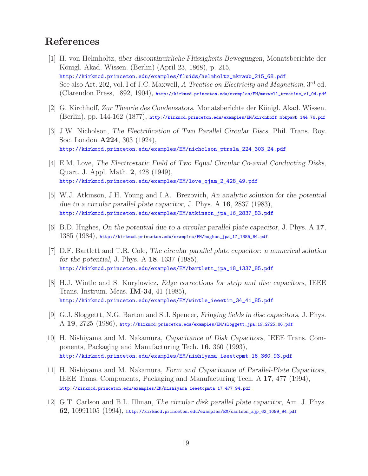# **References**

- [1] H. von Helmholtz, *uber discontinuirliche Fl¨ ¨ ussigkeits-Bewegungen*, Monatsberichte der Königl. Akad. Wissen. (Berlin) (April 23, 1868), p. 215, http://kirkmcd.princeton.edu/examples/fluids/helmholtz\_mkrawb\_215\_68.pdf See also Art. 202, vol. I of J.C. Maxwell, *A Treatise on Electricity and Magnetism*, 3rd ed. (Clarendon Press, 1892, 1904), http://kirkmcd.princeton.edu/examples/EM/maxwell\_treatise\_v1\_04.pdf
- [2] G. Kirchhoff, *Zur Theorie des Condensators*, Monatsberichte der Königl. Akad. Wissen. (Berlin), pp. 144-162 (1877), http://kirkmcd.princeton.edu/examples/EM/kirchhoff\_mbkpawb\_144\_78.pdf
- [3] J.W. Nicholson, *The Electrification of Two Parallel Circular Discs*, Phil. Trans. Roy. Soc. London **A224**, 303 (1924), http://kirkmcd.princeton.edu/examples/EM/nicholson\_ptrsla\_224\_303\_24.pdf
- [4] E.M. Love, *The Electrostatic Field of Two Equal Circular Co-axial Conducting Disks*, Quart. J. Appl. Math. **2**, 428 (1949), http://kirkmcd.princeton.edu/examples/EM/love\_qjam\_2\_428\_49.pdf
- [5] W.J. Atkinson, J.H. Young and I.A. Brezovich, *An analytic solution for the potential due to a circular parallel plate capacitor*, J. Phys. A **16**, 2837 (1983), http://kirkmcd.princeton.edu/examples/EM/atkinson\_jpa\_16\_2837\_83.pdf
- [6] B.D. Hughes, *On the potential due to a circular parallel plate capacitor*, J. Phys. A **17**, 1385 (1984), http://kirkmcd.princeton.edu/examples/EM/hughes\_jpa\_17\_1385\_84.pdf
- [7] D.F. Bartlett and T.R. Cole, *The circular parallel plate capacitor: a numerical solution for the potential*, J. Phys. A **18**, 1337 (1985), http://kirkmcd.princeton.edu/examples/EM/bartlett\_jpa\_18\_1337\_85.pdf
- [8] H.J. Wintle and S. Kurylowicz, *Edge corrections for strip and disc capacitors*, IEEE Trans. Instrum. Meas. **IM-34**, 41 (1985), http://kirkmcd.princeton.edu/examples/EM/wintle\_ieeetim\_34\_41\_85.pdf
- [9] G.J. Sloggettt, N.G. Barton and S.J. Spencer, *Fringing fields in disc capacitors*, J. Phys. A **19**, 2725 (1986), http://kirkmcd.princeton.edu/examples/EM/sloggett\_jpa\_19\_2725\_86.pdf
- [10] H. Nishiyama and M. Nakamura, *Capacitance of Disk Capacitors*, IEEE Trans. Components, Packaging and Manufacturing Tech. **16**, 360 (1993), http://kirkmcd.princeton.edu/examples/EM/nishiyama\_ieeetcpmt\_16\_360\_93.pdf
- [11] H. Nishiyama and M. Nakamura, *Form and Capacitance of Parallel-Plate Capacitors*, IEEE Trans. Components, Packaging and Manufacturing Tech. A **17**, 477 (1994), http://kirkmcd.princeton.edu/examples/EM/nishiyama\_ieeetcpmta\_17\_477\_94.pdf
- [12] G.T. Carlson and B.L. Illman, *The circular disk parallel plate capacitor*, Am. J. Phys. **62**, 10991105 (1994), http://kirkmcd.princeton.edu/examples/EM/carlson\_ajp\_62\_1099\_94.pdf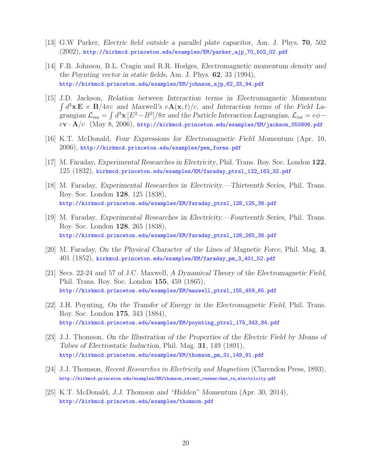- [13] G.W Parker, *Electric field outside a parallel plate capacitor*, Am. J. Phys. **70**, 502 (2002), http://kirkmcd.princeton.edu/examples/EM/parker\_ajp\_70\_502\_02.pdf
- [14] F.B. Johnson, B.L. Cragin and R.R. Hodges, *Electromagnetic momentum density and the Poynting vector in static fields*, Am. J. Phys. **62**, 33 (1994), http://kirkmcd.princeton.edu/examples/EM/johnson\_ajp\_62\_33\_94.pdf
- [15] J.D. Jackson, *Relation between Interaction terms in Electromagnetic Momentum*  $\int d^3x \mathbf{E} \times \mathbf{B}/4\pi c$  and Maxwell's  $e\mathbf{A}(\mathbf{x},t)/c$ , and Interaction terms of the Field La*grangian*  $\mathcal{L}_{em} = \int d^3x \, [E^2 - B^2] / 8\pi$  *and the Particle Interaction Lagrangian,*  $\mathcal{L}_{int} = e\phi$ e**v** · **A**/c (May 8, 2006), http://kirkmcd.princeton.edu/examples/EM/jackson\_050806.pdf
- [16] K.T. McDonald, *Four Expressions for Electromagnetic Field Momentum* (Apr. 10, 2006), http://kirkmcd.princeton.edu/examples/pem\_forms.pdf
- [17] M. Faraday, *Experimental Researches in Electricity*, Phil. Trans. Roy. Soc. London **122**, 125 (1832), kirkmcd.princeton.edu/examples/EM/faraday\_ptrsl\_122\_163\_32.pdf
- [18] M. Faraday, *Experimental Researches in Electricity.—Thirteenth Series*, Phil. Trans. Roy. Soc. London **128**, 125 (1838), http://kirkmcd.princeton.edu/examples/EM/faraday\_ptrsl\_128\_125\_38.pdf
- [19] M. Faraday, *Experimental Researches in Electricity.—Fourteenth Series*, Phil. Trans. Roy. Soc. London **128**, 265 (1838), http://kirkmcd.princeton.edu/examples/EM/faraday\_ptrsl\_128\_265\_38.pdf
- [20] M. Faraday, *On the Physical Character of the Lines of Magnetic Force*, Phil. Mag. **3**, 401 (1852), kirkmcd.princeton.edu/examples/EM/faraday\_pm\_3\_401\_52.pdf
- [21] Secs. 22-24 and 57 of J.C. Maxwell, *A Dynamical Theory of the Electromagnetic Field*, Phil. Trans. Roy. Soc. London **155**, 459 (1865), http://kirkmcd.princeton.edu/examples/EM/maxwell\_ptrsl\_155\_459\_65.pdf
- [22] J.H. Poynting, *On the Transfer of Energy in the Electromagnetic Field*, Phil. Trans. Roy. Soc. London **175**, 343 (1884), http://kirkmcd.princeton.edu/examples/EM/poynting\_ptrsl\_175\_343\_84.pdf
- [23] J.J. Thomson, *On the Illustration of the Properties of the Electric Field by Means of Tubes of Electrostatic Induction*, Phil. Mag. **31**, 149 (1891), http://kirkmcd.princeton.edu/examples/EM/thomson\_pm\_31\_149\_91.pdf
- [24] J.J. Thomson, *Recent Researches in Electricity and Magnetism* (Clarendon Press, 1893), http://kirkmcd.princeton.edu/examples/EM/thomson\_recent\_researches\_in\_electricity.pdf
- [25] K.T. McDonald, *J.J. Thomson and "Hidden" Momentum* (Apr. 30, 2014), http://kirkmcd.princeton.edu/examples/thomson.pdf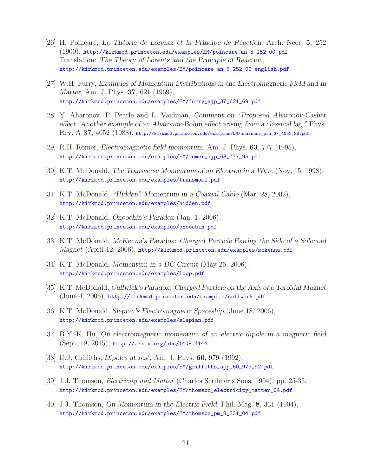- [26] H. Poincar´e, *La Th´eorie de Lorentz et la Principe de R´eaction*, Arch. Neer. **5**, 252 (1900), http://kirkmcd.princeton.edu/examples/EM/poincare\_an\_5\_252\_00.pdf Translation: *The Theory of Lorentz and the Principle of Reaction*, http://kirkmcd.princeton.edu/examples/EM/poincare\_an\_5\_252\_00\_english.pdf
- [27] W.H. Furry, *Examples of Momentum Distributions in the Electromagnetic Field and in Matter*, Am. J. Phys. **37**, 621 (1969), http://kirkmcd.princeton.edu/examples/EM/furry\_ajp\_37\_621\_69.pdf
- [28] Y. Aharonov, P. Pearle and L. Vaidman, *Comment on "Proposed Aharonov-Casher effect: Another example of an Aharonov-Bohm effect arising from a classical lag,"* Phys. Rev. A **37**, 4052 (1988), http://kirkmcd.princeton.edu/examples/QM/aharonov\_pra\_37\_4052\_88.pdf
- [29] R.H. Romer, *Electromagnetic field momentum*, Am. J. Phys. **63**, 777 (1995), http://kirkmcd.princeton.edu/examples/EM/romer\_ajp\_63\_777\_95.pdf
- [30] K.T. McDonald, *The Transverse Momentum of an Electron in a Wave* (Nov. 15, 1998), http://kirkmcd.princeton.edu/examples/transmom2.pdf
- [31] K.T. McDonald, *"Hidden" Momentum in a Coaxial Cable* (Mar. 28, 2002), http://kirkmcd.princeton.edu/examples/hidden.pdf
- [32] K.T. McDonald, *Onoochin's Paradox* (Jan. 1, 2006), http://kirkmcd.princeton.edu/examples/onoochin.pdf
- [33] K.T. McDonald, *McKenna's Paradox: Charged Particle Exiting the Side of a Solenoid Magnet* (April 12, 2006), http://kirkmcd.princeton.edu/examples/mckenna.pdf
- [34] K.T. McDonald, *Momentum in a DC Circuit* (May 26, 2006), http://kirkmcd.princeton.edu/examples/loop.pdf
- [35] K.T. McDonald, *Cullwick's Paradox: Charged Particle on the Axis of a Toroidal Magnet* (June 4, 2006), http://kirkmcd.princeton.edu/examples/cullwick.pdf
- [36] K.T. McDonald, *Slepian's Electromagnetic Spaceship* (June 18, 2006), http://kirkmcd.princeton.edu/examples/slepian.pdf
- [37] B.Y.-K. Hu, *On electromagnetic momentum of an electric dipole in a magnetic field* (Sept. 19, 2015), http://arxiv.org/abs/1408.4144
- [38] D.J. Griffiths, *Dipoles at rest*, Am. J. Phys. **60**, 979 (1992), http://kirkmcd.princeton.edu/examples/EM/griffiths\_ajp\_60\_979\_92.pdf
- [39] J.J. Thomson, *Electricity and Matter* (Charles Scribner's Sons, 1904), pp. 25-35, http://kirkmcd.princeton.edu/examples/EM/thomson\_electricity\_matter\_04.pdf
- [40] J.J. Thomson, *On Momentum in the Electric Field*, Phil. Mag. **8**, 331 (1904), http://kirkmcd.princeton.edu/examples/EM/thomson\_pm\_8\_331\_04.pdf